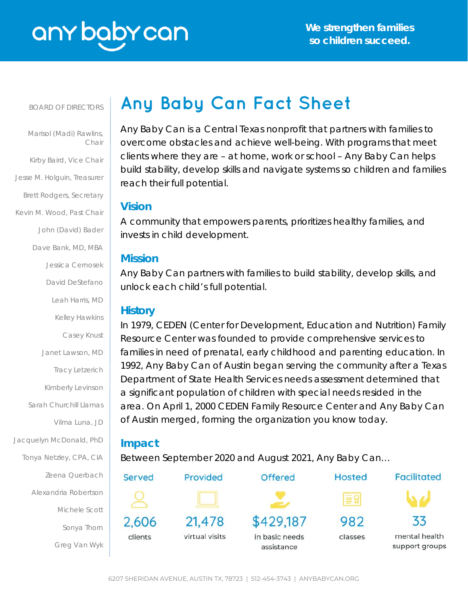# any baby can

#### BOARD OF DIRECTORS

 Marisol (Madi) Rawlins, Chair Kirby Baird, Vice Chair Jesse M. Holguin, Treasurer Brett Rodgers, Secretary Kevin M. Wood, Past Chair John (David) Bader Dave Bank, MD, MBA Jessica Cernosek David DeStefano Leah Harris, MD Kelley Hawkins Casey Knust Janet Lawson, MD Tracy Letzerich Kimberly Levinson Sarah Churchill Llamas Vilma Luna, JD Jacquelyn McDonald, PhD Tonya Netzley, CPA, CIA Zeena Querbach Alexandria Robertson Michele Scott Sonya Thorn Greg Van Wyk

# **Any Baby Can Fact Sheet**

Any Baby Can is a Central Texas nonprofit that partners with families to overcome obstacles and achieve well-being. With programs that meet clients where they are – at home, work or school – Any Baby Can helps build stability, develop skills and navigate systems so children and families reach their full potential.

# **Vision**

A community that empowers parents, prioritizes healthy families, and invests in child development.

# **Mission**

Any Baby Can partners with families to build stability, develop skills, and unlock each child's full potential.

# **History**

In 1979, CEDEN (Center for Development, Education and Nutrition) Family Resource Center was founded to provide comprehensive services to families in need of prenatal, early childhood and parenting education. In 1992, Any Baby Can of Austin began serving the community after a Texas Department of State Health Services needs assessment determined that a significant population of children with special needs resided in the area. On April 1, 2000 CEDEN Family Resource Center and Any Baby Can of Austin merged, forming the organization you know today.

# **Impact**

Between September 2020 and August 2021, Any Baby Can…

| Served  | Provided       | <b>Offered</b>               | <b>Hosted</b> | <b>Facilitated</b>              |
|---------|----------------|------------------------------|---------------|---------------------------------|
|         |                |                              | ≣ β           |                                 |
| 2,606   | 21,478         | \$429,187                    | 982           | 33                              |
| clients | virtual visits | in basic needs<br>assistance | classes       | mental health<br>support groups |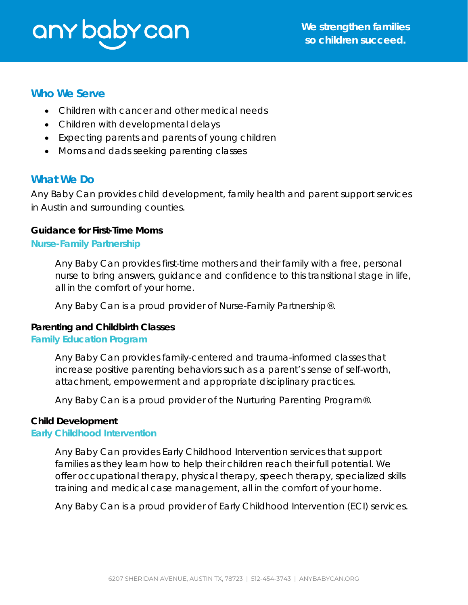# any baby can

# **Who We Serve**

- Children with cancer and other medical needs
- Children with developmental delays
- Expecting parents and parents of young children
- Moms and dads seeking parenting classes

# **What We Do**

Any Baby Can provides child development, family health and parent support services in Austin and surrounding counties.

# **Guidance for First-Time Moms**

#### **Nurse-Family Partnership**

Any Baby Can provides first-time mothers and their family with a free, personal nurse to bring answers, guidance and confidence to this transitional stage in life, all in the comfort of your home.

*Any Baby Can is a proud provider of Nurse-Family Partnership®.*

# **Parenting and Childbirth Classes**

# **Family Education Program**

Any Baby Can provides family-centered and trauma-informed classes that increase positive parenting behaviors such as a parent's sense of self-worth, attachment, empowerment and appropriate disciplinary practices.

*Any Baby Can is a proud provider of the Nurturing Parenting Program®.*

# **Child Development**

# **Early Childhood Intervention**

Any Baby Can provides Early Childhood Intervention services that support families as they learn how to help their children reach their full potential. We offer occupational therapy, physical therapy, speech therapy, specialized skills training and medical case management, all in the comfort of your home.

*Any Baby Can is a proud provider of Early Childhood Intervention (ECI) services.*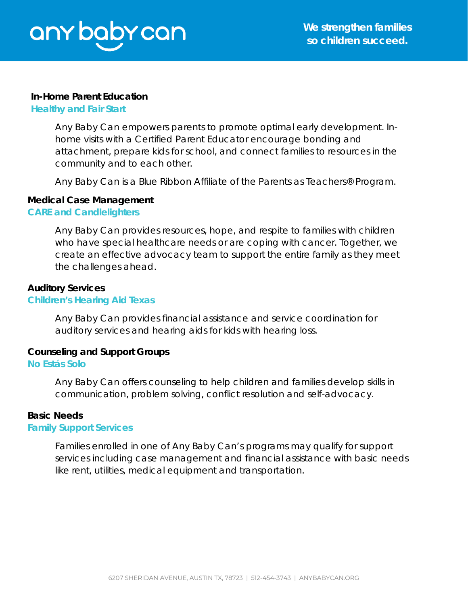#### **In-Home Parent Education**

#### **Healthy and Fair Start**

Any Baby Can empowers parents to promote optimal early development. Inhome visits with a Certified Parent Educator encourage bonding and attachment, prepare kids for school, and connect families to resources in the community and to each other.

*Any Baby Can is a Blue Ribbon Affiliate of the Parents as Teachers® Program.*

#### **Medical Case Management**

#### **CARE and Candlelighters**

Any Baby Can provides resources, hope, and respite to families with children who have special healthcare needs or are coping with cancer. Together, we create an effective advocacy team to support the entire family as they meet the challenges ahead.

#### **Auditory Services**

#### **Children's Hearing Aid Texas**

Any Baby Can provides financial assistance and service coordination for auditory services and hearing aids for kids with hearing loss.

# **Counseling and Support Groups**

#### **No Estás Solo**

Any Baby Can offers counseling to help children and families develop skills in communication, problem solving, conflict resolution and self-advocacy.

#### **Basic Needs**

#### **Family Support Services**

Families enrolled in one of Any Baby Can's programs may qualify for support services including case management and financial assistance with basic needs like rent, utilities, medical equipment and transportation.